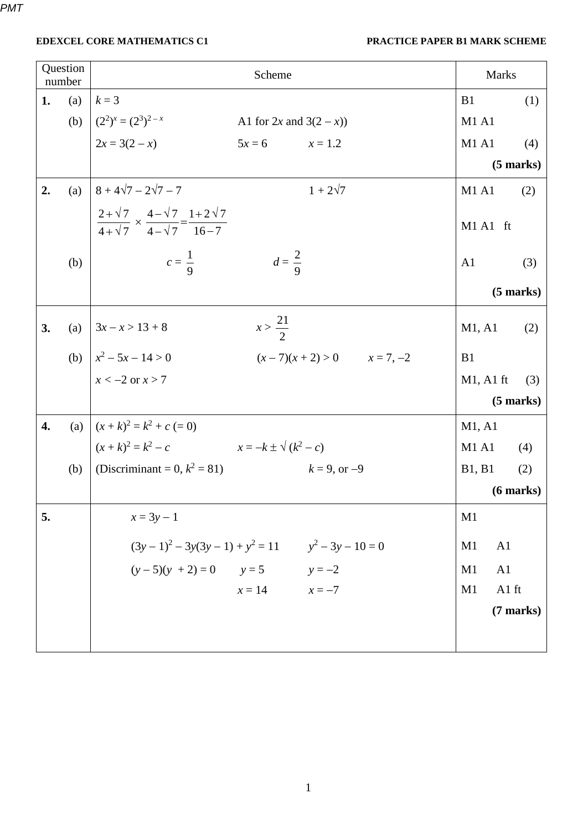| Question<br>number |     | Scheme                                                                                          | <b>Marks</b>                     |  |
|--------------------|-----|-------------------------------------------------------------------------------------------------|----------------------------------|--|
| 1.                 | (a) | $k=3$                                                                                           | B1<br>(1)                        |  |
|                    |     | (b) $(2^2)^x = (2^3)^{2-x}$<br>A1 for $2x$ and $3(2-x)$ )                                       | <b>M1 A1</b>                     |  |
|                    |     | $2x = 3(2 - x)$<br>$5x = 6$ $x = 1.2$                                                           | <b>M1 A1</b><br>(4)              |  |
|                    |     |                                                                                                 | $(5$ marks $)$                   |  |
| 2.                 | (a) | $8 + 4\sqrt{7} - 2\sqrt{7} - 7$<br>$1 + 2\sqrt{7}$                                              | M1A1<br>(2)                      |  |
|                    |     | $\frac{2+\sqrt{7}}{4+\sqrt{7}} \times \frac{4-\sqrt{7}}{4-\sqrt{7}} = \frac{1+2\sqrt{7}}{16-7}$ | M1 A1 ft                         |  |
|                    | (b) | $c=\frac{1}{9}$<br>$d=\frac{2}{9}$                                                              | A1<br>(3)                        |  |
|                    |     |                                                                                                 | $(5$ marks $)$                   |  |
| 3.                 |     | $x > \frac{21}{2}$<br>(a) $ 3x-x>13+8$                                                          | M1, A1<br>(2)                    |  |
|                    |     | (b) $x^2 - 5x - 14 > 0$<br>$(x-7)(x+2) > 0$ $x = 7, -2$                                         | B1                               |  |
|                    |     | $x < -2$ or $x > 7$                                                                             | $M1$ , A1 ft<br>(3)              |  |
|                    |     |                                                                                                 | $(5$ marks $)$                   |  |
| 4.                 |     | (a) $(x+k)^2 = k^2 + c = 0$                                                                     | M1, A1                           |  |
|                    |     | $(x+k)^2 = k^2 - c$ $x = -k \pm \sqrt{(k^2 - c)}$                                               | M1A1<br>(4)                      |  |
|                    |     | (b)   (Discriminant = 0, $k^2 = 81$ )<br>$k = 9$ , or $-9$                                      | <b>B1</b> , <b>B1</b><br>(2)     |  |
|                    |     |                                                                                                 | $(6$ marks $)$                   |  |
| 5.                 |     | $x = 3y - 1$                                                                                    | M1                               |  |
|                    |     | $(3y-1)^2 - 3y(3y-1) + y^2 = 11$ $y^2 - 3y - 10 = 0$                                            | A <sub>1</sub><br>M <sub>1</sub> |  |
|                    |     | $(y-5)(y + 2) = 0$ $y = 5$ $y = -2$                                                             | A1<br>M1                         |  |
|                    |     | $x = 14$ $x = -7$                                                                               | A1 ft<br>M1                      |  |
|                    |     |                                                                                                 | (7 marks)                        |  |
|                    |     |                                                                                                 |                                  |  |
|                    |     |                                                                                                 |                                  |  |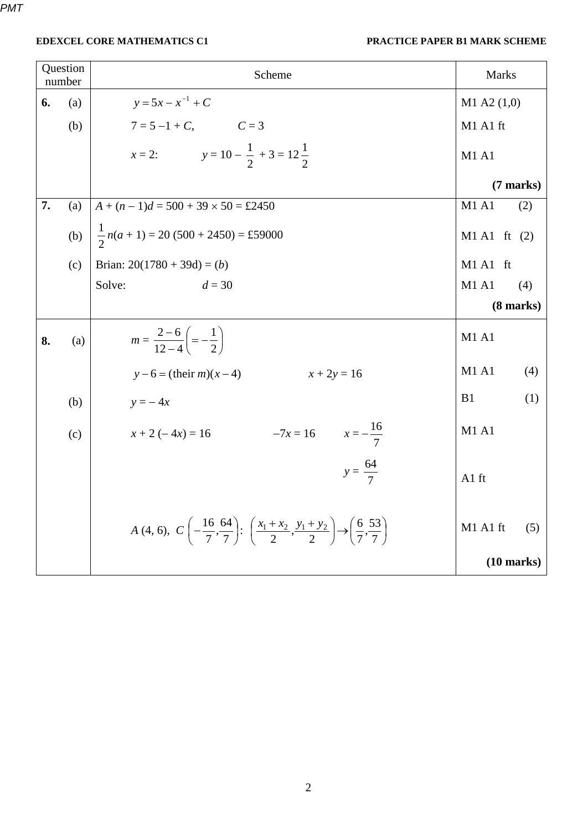| Question<br>number |     | Scheme                                                                                                                                                             | <b>Marks</b>         |  |
|--------------------|-----|--------------------------------------------------------------------------------------------------------------------------------------------------------------------|----------------------|--|
| 6.                 | (a) | $y = 5x - x^{-1} + C$                                                                                                                                              | $M1$ A2 $(1,0)$      |  |
|                    | (b) | $7 = 5 - 1 + C$ , $C = 3$                                                                                                                                          | M1 A1 ft             |  |
|                    |     | x = 2: $y = 10 - \frac{1}{2} + 3 = 12\frac{1}{2}$                                                                                                                  | M1A1                 |  |
|                    |     |                                                                                                                                                                    | $(7$ marks)          |  |
| 7.                 | (a) | $A + (n-1)d = 500 + 39 \times 50 = \text{\textsterling}2450$                                                                                                       | M1 A1<br>(2)         |  |
|                    | (b) | $\frac{1}{2}n(a+1) = 20(500 + 2450) = \text{\textsterling}59000$                                                                                                   | $M1 A1$ ft (2)       |  |
|                    | (c) | Brian: $20(1780 + 39d) = (b)$                                                                                                                                      | M1 A1 ft             |  |
|                    |     | Solve:<br>$d = 30$                                                                                                                                                 | <b>M1 A1</b><br>(4)  |  |
|                    |     |                                                                                                                                                                    | $(8 \text{ marks})$  |  |
| 8.                 | (a) | $m = \frac{2-6}{12-4} \left( = -\frac{1}{2} \right)$                                                                                                               | <b>M1 A1</b>         |  |
|                    |     | $y-6 = (their m)(x-4)$<br>$x + 2y = 16$                                                                                                                            | M1 A1<br>(4)         |  |
|                    | (b) | $y = -4x$                                                                                                                                                          | B1<br>(1)            |  |
|                    | (c) | $x + 2(-4x) = 16$ $-7x = 16$ $x = -\frac{16}{7}$                                                                                                                   | M1A1                 |  |
|                    |     | $y = \frac{64}{7}$                                                                                                                                                 | A1 ft                |  |
|                    |     | A (4, 6), $C\left(-\frac{16}{7}, \frac{64}{7}\right)$ : $\left(\frac{x_1 + x_2}{2}, \frac{y_1 + y_2}{2}\right) \rightarrow \left(\frac{6}{7}, \frac{53}{7}\right)$ | M1 A1 ft<br>(5)      |  |
|                    |     |                                                                                                                                                                    | $(10 \text{ marks})$ |  |